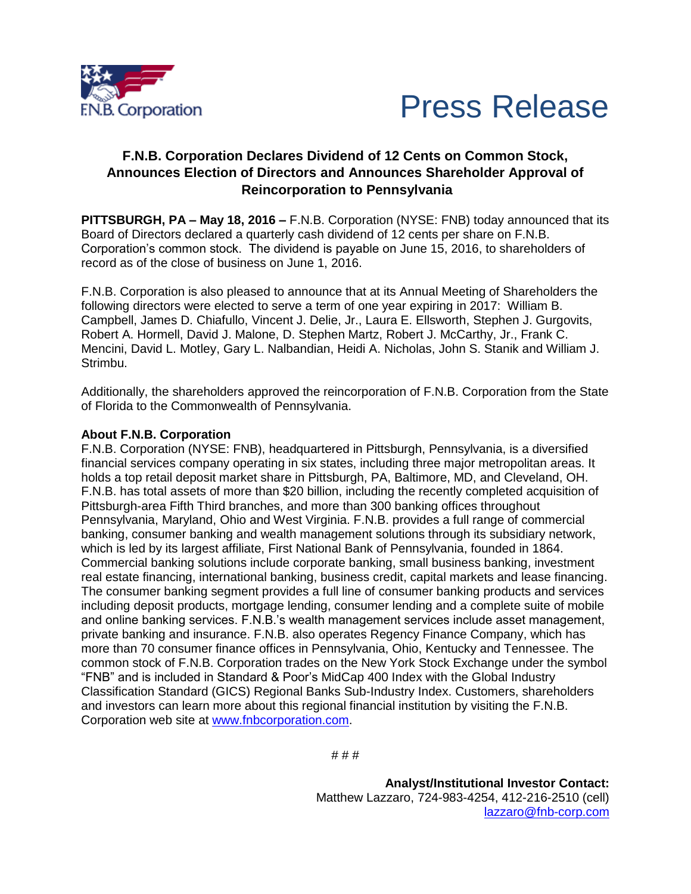



## **F.N.B. Corporation Declares Dividend of 12 Cents on Common Stock, Announces Election of Directors and Announces Shareholder Approval of Reincorporation to Pennsylvania**

**PITTSBURGH, PA – May 18, 2016 –** F.N.B. Corporation (NYSE: FNB) today announced that its Board of Directors declared a quarterly cash dividend of 12 cents per share on F.N.B. Corporation's common stock. The dividend is payable on June 15, 2016, to shareholders of record as of the close of business on June 1, 2016.

F.N.B. Corporation is also pleased to announce that at its Annual Meeting of Shareholders the following directors were elected to serve a term of one year expiring in 2017: William B. Campbell, James D. Chiafullo, Vincent J. Delie, Jr., Laura E. Ellsworth, Stephen J. Gurgovits, Robert A. Hormell, David J. Malone, D. Stephen Martz, Robert J. McCarthy, Jr., Frank C. Mencini, David L. Motley, Gary L. Nalbandian, Heidi A. Nicholas, John S. Stanik and William J. Strimbu.

Additionally, the shareholders approved the reincorporation of F.N.B. Corporation from the State of Florida to the Commonwealth of Pennsylvania.

## **About F.N.B. Corporation**

F.N.B. Corporation (NYSE: FNB), headquartered in Pittsburgh, Pennsylvania, is a diversified financial services company operating in six states, including three major metropolitan areas. It holds a top retail deposit market share in Pittsburgh, PA, Baltimore, MD, and Cleveland, OH. F.N.B. has total assets of more than \$20 billion, including the recently completed acquisition of Pittsburgh-area Fifth Third branches, and more than 300 banking offices throughout Pennsylvania, Maryland, Ohio and West Virginia. F.N.B. provides a full range of commercial banking, consumer banking and wealth management solutions through its subsidiary network, which is led by its largest affiliate, First National Bank of Pennsylvania, founded in 1864. Commercial banking solutions include corporate banking, small business banking, investment real estate financing, international banking, business credit, capital markets and lease financing. The consumer banking segment provides a full line of consumer banking products and services including deposit products, mortgage lending, consumer lending and a complete suite of mobile and online banking services. F.N.B.'s wealth management services include asset management, private banking and insurance. F.N.B. also operates Regency Finance Company, which has more than 70 consumer finance offices in Pennsylvania, Ohio, Kentucky and Tennessee. The common stock of F.N.B. Corporation trades on the New York Stock Exchange under the symbol "FNB" and is included in Standard & Poor's MidCap 400 Index with the Global Industry Classification Standard (GICS) Regional Banks Sub-Industry Index. Customers, shareholders and investors can learn more about this regional financial institution by visiting the F.N.B. Corporation web site at [www.fnbcorporation.com.](http://www.fnbcorporation.com/)

# # #

**Analyst/Institutional Investor Contact:** Matthew Lazzaro, 724-983-4254, 412-216-2510 (cell) [lazzaro@fnb-corp.com](mailto:lazzaro@fnb-corp.com)